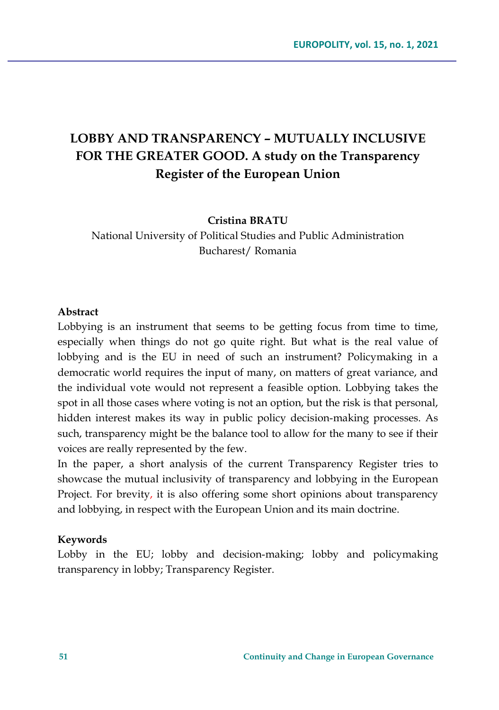# **LOBBY AND TRANSPARENCY – MUTUALLY INCLUSIVE FOR THE GREATER GOOD. A study on the Transparency Register of the European Union**

**Cristina BRATU**

National University of Political Studies and Public Administration Bucharest/ Romania

#### **Abstract**

Lobbying is an instrument that seems to be getting focus from time to time, especially when things do not go quite right. But what is the real value of lobbying and is the EU in need of such an instrument? Policymaking in a democratic world requires the input of many, on matters of great variance, and the individual vote would not represent a feasible option. Lobbying takes the spot in all those cases where voting is not an option, but the risk is that personal, hidden interest makes its way in public policy decision-making processes. As such, transparency might be the balance tool to allow for the many to see if their voices are really represented by the few.

In the paper, a short analysis of the current Transparency Register tries to showcase the mutual inclusivity of transparency and lobbying in the European Project. For brevity, it is also offering some short opinions about transparency and lobbying, in respect with the European Union and its main doctrine.

#### **Keywords**

Lobby in the EU; lobby and decision-making; lobby and policymaking transparency in lobby; Transparency Register.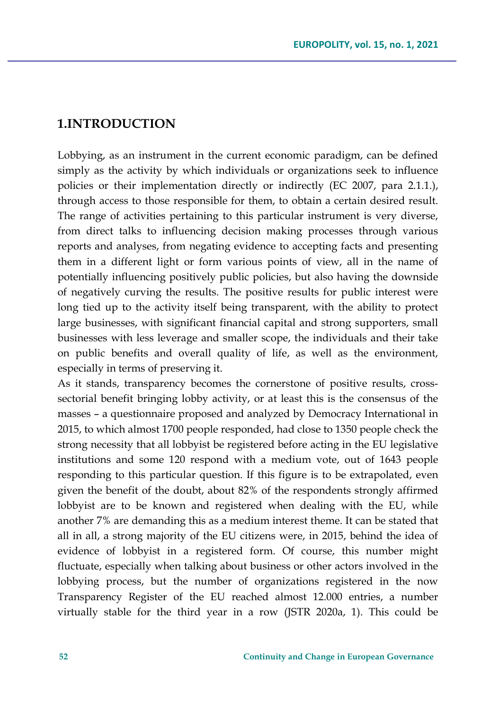### **1.INTRODUCTION**

Lobbying, as an instrument in the current economic paradigm, can be defined simply as the activity by which individuals or organizations seek to influence policies or their implementation directly or indirectly (EC 2007, para 2.1.1.), through access to those responsible for them, to obtain a certain desired result. The range of activities pertaining to this particular instrument is very diverse, from direct talks to influencing decision making processes through various reports and analyses, from negating evidence to accepting facts and presenting them in a different light or form various points of view, all in the name of potentially influencing positively public policies, but also having the downside of negatively curving the results. The positive results for public interest were long tied up to the activity itself being transparent, with the ability to protect large businesses, with significant financial capital and strong supporters, small businesses with less leverage and smaller scope, the individuals and their take on public benefits and overall quality of life, as well as the environment, especially in terms of preserving it.

As it stands, transparency becomes the cornerstone of positive results, crosssectorial benefit bringing lobby activity, or at least this is the consensus of the masses – a questionnaire proposed and analyzed by Democracy International in 2015, to which almost 1700 people responded, had close to 1350 people check the strong necessity that all lobbyist be registered before acting in the EU legislative institutions and some 120 respond with a medium vote, out of 1643 people responding to this particular question. If this figure is to be extrapolated, even given the benefit of the doubt, about 82% of the respondents strongly affirmed lobbyist are to be known and registered when dealing with the EU, while another 7% are demanding this as a medium interest theme. It can be stated that all in all, a strong majority of the EU citizens were, in 2015, behind the idea of evidence of lobbyist in a registered form. Of course, this number might fluctuate, especially when talking about business or other actors involved in the lobbying process, but the number of organizations registered in the now Transparency Register of the EU reached almost 12.000 entries, a number virtually stable for the third year in a row (JSTR 2020a, 1). This could be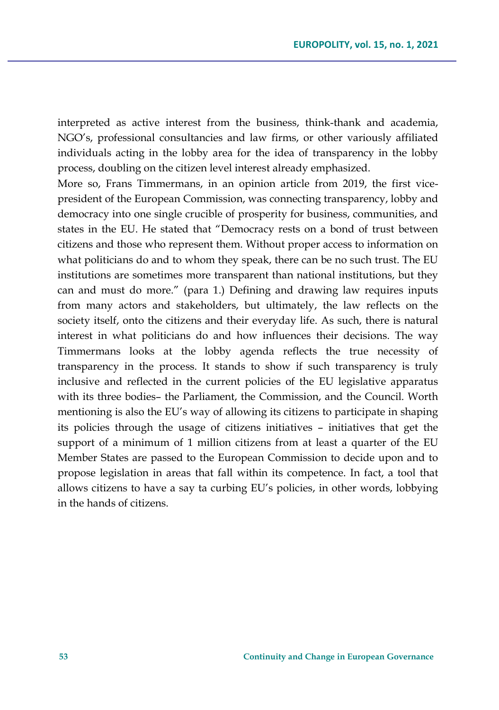interpreted as active interest from the business, think-thank and academia, NGO's, professional consultancies and law firms, or other variously affiliated individuals acting in the lobby area for the idea of transparency in the lobby process, doubling on the citizen level interest already emphasized.

More so, Frans Timmermans, in an opinion article from 2019, the first vicepresident of the European Commission, was connecting transparency, lobby and democracy into one single crucible of prosperity for business, communities, and states in the EU. He stated that "Democracy rests on a bond of trust between citizens and those who represent them. Without proper access to information on what politicians do and to whom they speak, there can be no such trust. The EU institutions are sometimes more transparent than national institutions, but they can and must do more." (para 1.) Defining and drawing law requires inputs from many actors and stakeholders, but ultimately, the law reflects on the society itself, onto the citizens and their everyday life. As such, there is natural interest in what politicians do and how influences their decisions. The way Timmermans looks at the lobby agenda reflects the true necessity of transparency in the process. It stands to show if such transparency is truly inclusive and reflected in the current policies of the EU legislative apparatus with its three bodies– the Parliament, the Commission, and the Council. Worth mentioning is also the EU's way of allowing its citizens to participate in shaping its policies through the usage of citizens initiatives – initiatives that get the support of a minimum of 1 million citizens from at least a quarter of the EU Member States are passed to the European Commission to decide upon and to propose legislation in areas that fall within its competence. In fact, a tool that allows citizens to have a say ta curbing EU's policies, in other words, lobbying in the hands of citizens.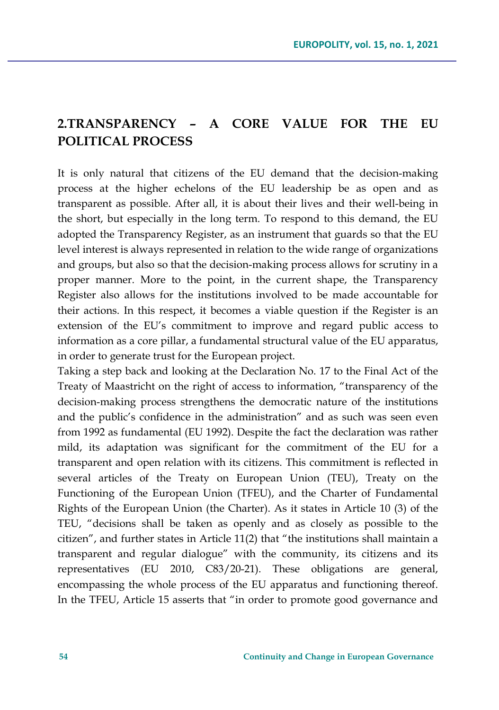## **2.TRANSPARENCY – A CORE VALUE FOR THE EU POLITICAL PROCESS**

It is only natural that citizens of the EU demand that the decision-making process at the higher echelons of the EU leadership be as open and as transparent as possible. After all, it is about their lives and their well-being in the short, but especially in the long term. To respond to this demand, the EU adopted the Transparency Register, as an instrument that guards so that the EU level interest is always represented in relation to the wide range of organizations and groups, but also so that the decision-making process allows for scrutiny in a proper manner. More to the point, in the current shape, the Transparency Register also allows for the institutions involved to be made accountable for their actions. In this respect, it becomes a viable question if the Register is an extension of the EU's commitment to improve and regard public access to information as a core pillar, a fundamental structural value of the EU apparatus, in order to generate trust for the European project.

Taking a step back and looking at the Declaration No. 17 to the Final Act of the Treaty of Maastricht on the right of access to information, "transparency of the decision-making process strengthens the democratic nature of the institutions and the public's confidence in the administration" and as such was seen even from 1992 as fundamental (EU 1992). Despite the fact the declaration was rather mild, its adaptation was significant for the commitment of the EU for a transparent and open relation with its citizens. This commitment is reflected in several articles of the Treaty on European Union (TEU), Treaty on the Functioning of the European Union (TFEU), and the Charter of Fundamental Rights of the European Union (the Charter). As it states in Article 10 (3) of the TEU, "decisions shall be taken as openly and as closely as possible to the citizen", and further states in Article 11(2) that "the institutions shall maintain a transparent and regular dialogue" with the community, its citizens and its representatives (EU 2010, C83/20-21). These obligations are general, encompassing the whole process of the EU apparatus and functioning thereof. In the TFEU, Article 15 asserts that "in order to promote good governance and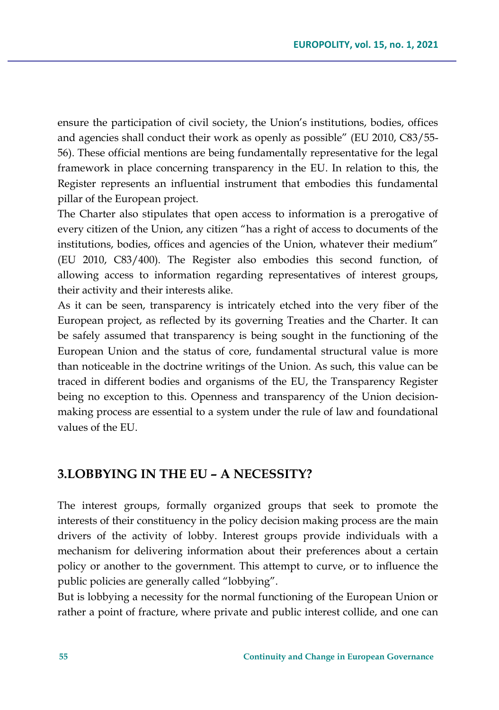ensure the participation of civil society, the Union's institutions, bodies, offices and agencies shall conduct their work as openly as possible" (EU 2010, C83/55- 56). These official mentions are being fundamentally representative for the legal framework in place concerning transparency in the EU. In relation to this, the Register represents an influential instrument that embodies this fundamental pillar of the European project.

The Charter also stipulates that open access to information is a prerogative of every citizen of the Union, any citizen "has a right of access to documents of the institutions, bodies, offices and agencies of the Union, whatever their medium" (EU 2010, C83/400). The Register also embodies this second function, of allowing access to information regarding representatives of interest groups, their activity and their interests alike.

As it can be seen, transparency is intricately etched into the very fiber of the European project, as reflected by its governing Treaties and the Charter. It can be safely assumed that transparency is being sought in the functioning of the European Union and the status of core, fundamental structural value is more than noticeable in the doctrine writings of the Union. As such, this value can be traced in different bodies and organisms of the EU, the Transparency Register being no exception to this. Openness and transparency of the Union decisionmaking process are essential to a system under the rule of law and foundational values of the EU.

### **3.LOBBYING IN THE EU – A NECESSITY?**

The interest groups, formally organized groups that seek to promote the interests of their constituency in the policy decision making process are the main drivers of the activity of lobby. Interest groups provide individuals with a mechanism for delivering information about their preferences about a certain policy or another to the government. This attempt to curve, or to influence the public policies are generally called "lobbying".

But is lobbying a necessity for the normal functioning of the European Union or rather a point of fracture, where private and public interest collide, and one can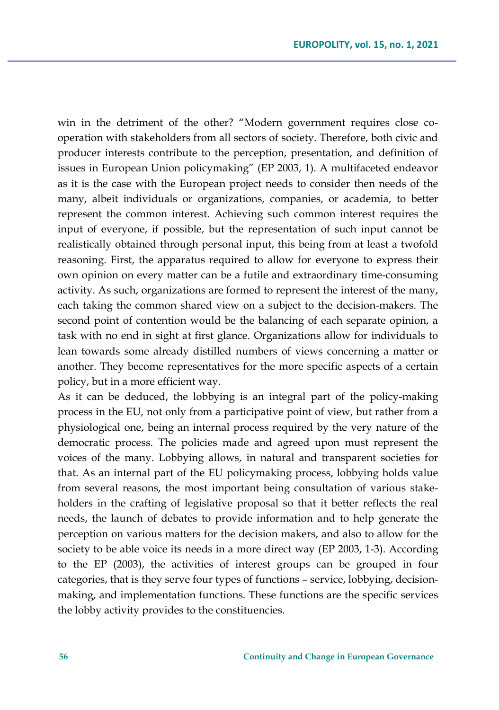win in the detriment of the other? "Modern government requires close cooperation with stakeholders from all sectors of society. Therefore, both civic and producer interests contribute to the perception, presentation, and definition of issues in European Union policymaking" (EP 2003, 1). A multifaceted endeavor as it is the case with the European project needs to consider then needs of the many, albeit individuals or organizations, companies, or academia, to better represent the common interest. Achieving such common interest requires the input of everyone, if possible, but the representation of such input cannot be realistically obtained through personal input, this being from at least a twofold reasoning. First, the apparatus required to allow for everyone to express their own opinion on every matter can be a futile and extraordinary time-consuming activity. As such, organizations are formed to represent the interest of the many, each taking the common shared view on a subject to the decision-makers. The second point of contention would be the balancing of each separate opinion, a task with no end in sight at first glance. Organizations allow for individuals to lean towards some already distilled numbers of views concerning a matter or another. They become representatives for the more specific aspects of a certain policy, but in a more efficient way.

As it can be deduced, the lobbying is an integral part of the policy-making process in the EU, not only from a participative point of view, but rather from a physiological one, being an internal process required by the very nature of the democratic process. The policies made and agreed upon must represent the voices of the many. Lobbying allows, in natural and transparent societies for that. As an internal part of the EU policymaking process, lobbying holds value from several reasons, the most important being consultation of various stakeholders in the crafting of legislative proposal so that it better reflects the real needs, the launch of debates to provide information and to help generate the perception on various matters for the decision makers, and also to allow for the society to be able voice its needs in a more direct way (EP 2003, 1-3). According to the EP (2003), the activities of interest groups can be grouped in four categories, that is they serve four types of functions – service, lobbying, decisionmaking, and implementation functions. These functions are the specific services the lobby activity provides to the constituencies.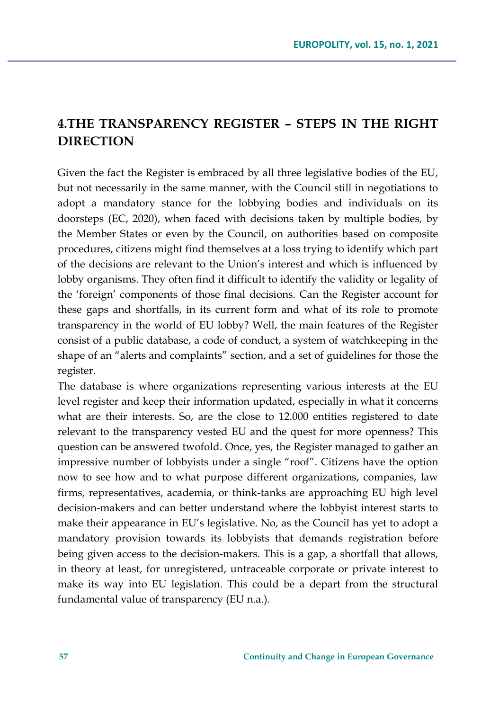## **4.THE TRANSPARENCY REGISTER – STEPS IN THE RIGHT DIRECTION**

Given the fact the Register is embraced by all three legislative bodies of the EU, but not necessarily in the same manner, with the Council still in negotiations to adopt a mandatory stance for the lobbying bodies and individuals on its doorsteps (EC, 2020), when faced with decisions taken by multiple bodies, by the Member States or even by the Council, on authorities based on composite procedures, citizens might find themselves at a loss trying to identify which part of the decisions are relevant to the Union's interest and which is influenced by lobby organisms. They often find it difficult to identify the validity or legality of the 'foreign' components of those final decisions. Can the Register account for these gaps and shortfalls, in its current form and what of its role to promote transparency in the world of EU lobby? Well, the main features of the Register consist of a public database, a code of conduct, a system of watchkeeping in the shape of an "alerts and complaints" section, and a set of guidelines for those the register.

The database is where organizations representing various interests at the EU level register and keep their information updated, especially in what it concerns what are their interests. So, are the close to 12.000 entities registered to date relevant to the transparency vested EU and the quest for more openness? This question can be answered twofold. Once, yes, the Register managed to gather an impressive number of lobbyists under a single "roof". Citizens have the option now to see how and to what purpose different organizations, companies, law firms, representatives, academia, or think-tanks are approaching EU high level decision-makers and can better understand where the lobbyist interest starts to make their appearance in EU's legislative. No, as the Council has yet to adopt a mandatory provision towards its lobbyists that demands registration before being given access to the decision-makers. This is a gap, a shortfall that allows, in theory at least, for unregistered, untraceable corporate or private interest to make its way into EU legislation. This could be a depart from the structural fundamental value of transparency (EU n.a.).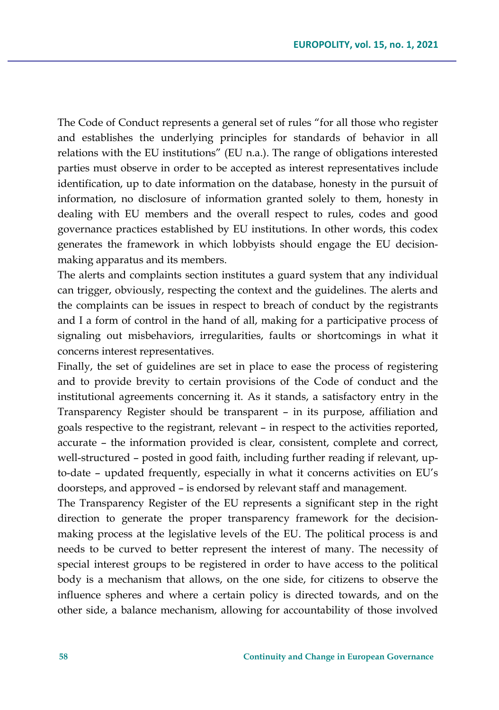The Code of Conduct represents a general set of rules "for all those who register and establishes the underlying principles for standards of behavior in all relations with the EU institutions" (EU n.a.). The range of obligations interested parties must observe in order to be accepted as interest representatives include identification, up to date information on the database, honesty in the pursuit of information, no disclosure of information granted solely to them, honesty in dealing with EU members and the overall respect to rules, codes and good governance practices established by EU institutions. In other words, this codex generates the framework in which lobbyists should engage the EU decisionmaking apparatus and its members.

The alerts and complaints section institutes a guard system that any individual can trigger, obviously, respecting the context and the guidelines. The alerts and the complaints can be issues in respect to breach of conduct by the registrants and I a form of control in the hand of all, making for a participative process of signaling out misbehaviors, irregularities, faults or shortcomings in what it concerns interest representatives.

Finally, the set of guidelines are set in place to ease the process of registering and to provide brevity to certain provisions of the Code of conduct and the institutional agreements concerning it. As it stands, a satisfactory entry in the Transparency Register should be transparent – in its purpose, affiliation and goals respective to the registrant, relevant – in respect to the activities reported, accurate – the information provided is clear, consistent, complete and correct, well-structured – posted in good faith, including further reading if relevant, upto-date – updated frequently, especially in what it concerns activities on EU's doorsteps, and approved – is endorsed by relevant staff and management.

The Transparency Register of the EU represents a significant step in the right direction to generate the proper transparency framework for the decisionmaking process at the legislative levels of the EU. The political process is and needs to be curved to better represent the interest of many. The necessity of special interest groups to be registered in order to have access to the political body is a mechanism that allows, on the one side, for citizens to observe the influence spheres and where a certain policy is directed towards, and on the other side, a balance mechanism, allowing for accountability of those involved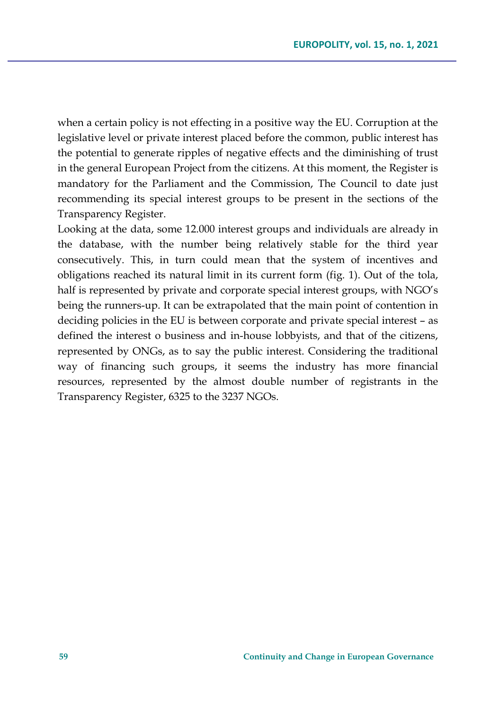when a certain policy is not effecting in a positive way the EU. Corruption at the legislative level or private interest placed before the common, public interest has the potential to generate ripples of negative effects and the diminishing of trust in the general European Project from the citizens. At this moment, the Register is mandatory for the Parliament and the Commission, The Council to date just recommending its special interest groups to be present in the sections of the Transparency Register.

Looking at the data, some 12.000 interest groups and individuals are already in the database, with the number being relatively stable for the third year consecutively. This, in turn could mean that the system of incentives and obligations reached its natural limit in its current form (fig. 1). Out of the tola, half is represented by private and corporate special interest groups, with NGO's being the runners-up. It can be extrapolated that the main point of contention in deciding policies in the EU is between corporate and private special interest – as defined the interest o business and in-house lobbyists, and that of the citizens, represented by ONGs, as to say the public interest. Considering the traditional way of financing such groups, it seems the industry has more financial resources, represented by the almost double number of registrants in the Transparency Register, 6325 to the 3237 NGOs.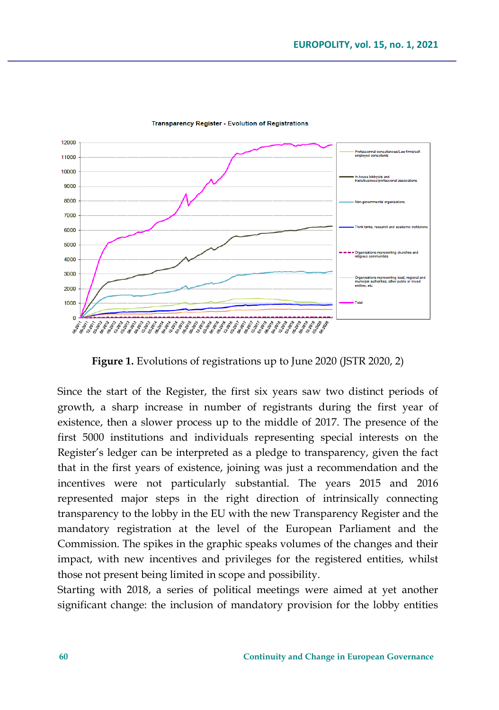

**Transparency Register - Evolution of Registrations** 

**Figure 1.** Evolutions of registrations up to June 2020 (JSTR 2020, 2)

Since the start of the Register, the first six years saw two distinct periods of growth, a sharp increase in number of registrants during the first year of existence, then a slower process up to the middle of 2017. The presence of the first 5000 institutions and individuals representing special interests on the Register's ledger can be interpreted as a pledge to transparency, given the fact that in the first years of existence, joining was just a recommendation and the incentives were not particularly substantial. The years 2015 and 2016 represented major steps in the right direction of intrinsically connecting transparency to the lobby in the EU with the new Transparency Register and the mandatory registration at the level of the European Parliament and the Commission. The spikes in the graphic speaks volumes of the changes and their impact, with new incentives and privileges for the registered entities, whilst those not present being limited in scope and possibility.

Starting with 2018, a series of political meetings were aimed at yet another significant change: the inclusion of mandatory provision for the lobby entities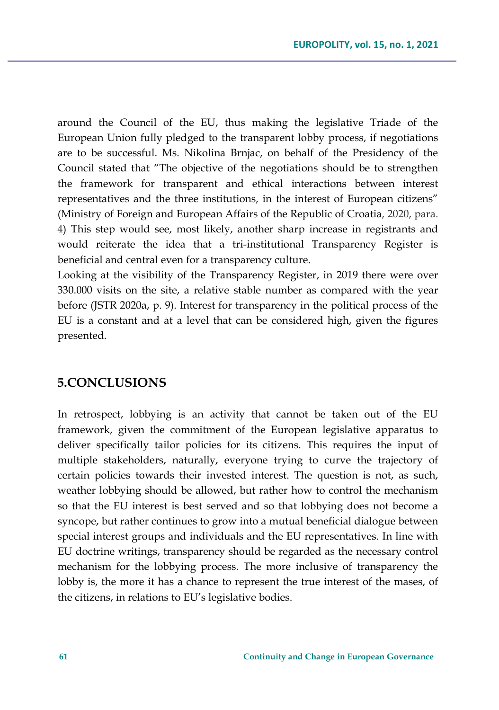around the Council of the EU, thus making the legislative Triade of the European Union fully pledged to the transparent lobby process, if negotiations are to be successful. Ms. Nikolina Brnjac, on behalf of the Presidency of the Council stated that "The objective of the negotiations should be to strengthen the framework for transparent and ethical interactions between interest representatives and the three institutions, in the interest of European citizens" (Ministry of Foreign and European Affairs of the Republic of Croatia, 2020, para. 4) This step would see, most likely, another sharp increase in registrants and would reiterate the idea that a tri-institutional Transparency Register is beneficial and central even for a transparency culture.

Looking at the visibility of the Transparency Register, in 2019 there were over 330.000 visits on the site, a relative stable number as compared with the year before (JSTR 2020a, p. 9). Interest for transparency in the political process of the EU is a constant and at a level that can be considered high, given the figures presented.

### **5.CONCLUSIONS**

In retrospect, lobbying is an activity that cannot be taken out of the EU framework, given the commitment of the European legislative apparatus to deliver specifically tailor policies for its citizens. This requires the input of multiple stakeholders, naturally, everyone trying to curve the trajectory of certain policies towards their invested interest. The question is not, as such, weather lobbying should be allowed, but rather how to control the mechanism so that the EU interest is best served and so that lobbying does not become a syncope, but rather continues to grow into a mutual beneficial dialogue between special interest groups and individuals and the EU representatives. In line with EU doctrine writings, transparency should be regarded as the necessary control mechanism for the lobbying process. The more inclusive of transparency the lobby is, the more it has a chance to represent the true interest of the mases, of the citizens, in relations to EU's legislative bodies.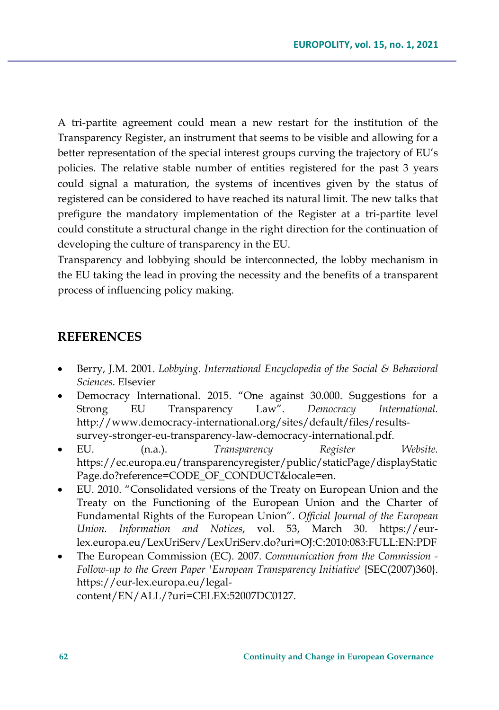A tri-partite agreement could mean a new restart for the institution of the Transparency Register, an instrument that seems to be visible and allowing for a better representation of the special interest groups curving the trajectory of EU's policies. The relative stable number of entities registered for the past 3 years could signal a maturation, the systems of incentives given by the status of registered can be considered to have reached its natural limit. The new talks that prefigure the mandatory implementation of the Register at a tri-partite level could constitute a structural change in the right direction for the continuation of developing the culture of transparency in the EU.

Transparency and lobbying should be interconnected, the lobby mechanism in the EU taking the lead in proving the necessity and the benefits of a transparent process of influencing policy making.

### **REFERENCES**

- Berry, J.M. 2001. *Lobbying. International Encyclopedia of the Social & Behavioral Sciences*. Elsevier
- Democracy International. 2015. "One against 30.000. Suggestions for a Strong EU Transparency Law". *Democracy International.* http://www.democracy-international.org/sites/default/files/resultssurvey-stronger-eu-transparency-law-democracy-international.pdf.
- EU. (n.a.). *Transparency Register Website.* https://ec.europa.eu/transparencyregister/public/staticPage/displayStatic Page.do?reference=CODE\_OF\_CONDUCT&locale=en.
- EU. 2010. "Consolidated versions of the Treaty on European Union and the Treaty on the Functioning of the European Union and the Charter of Fundamental Rights of the European Union". *Official Journal of the European Union. Information and Notices*, vol. 53, March 30. https://eurlex.europa.eu/LexUriServ/LexUriServ.do?uri=OJ:C:2010:083:FULL:EN:PDF
- The European Commission (EC). 2007. *Communication from the Commission - Follow-up to the Green Paper 'European Transparency Initiative*' {SEC(2007)360}. https://eur-lex.europa.eu/legalcontent/EN/ALL/?uri=CELEX:52007DC0127.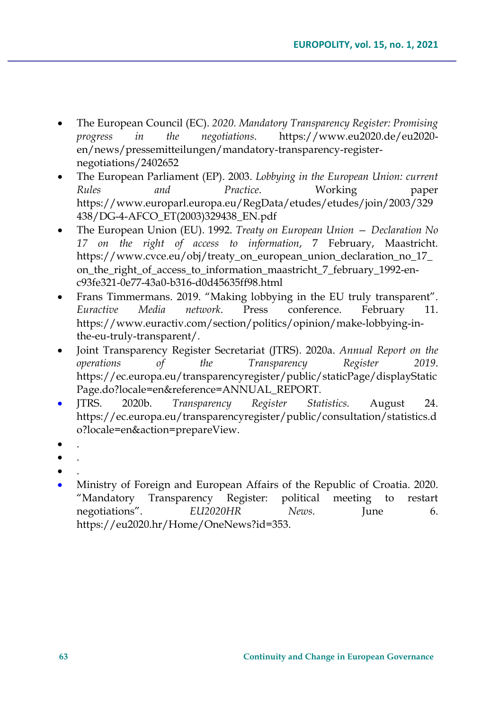- The European Council (EC). *2020. Mandatory Transparency Register: Promising progress in the negotiations*. https://www.eu2020.de/eu2020 en/news/pressemitteilungen/mandatory-transparency-registernegotiations/2402652
- The European Parliament (EP). 2003. *Lobbying in the European Union: current Rules and Practice*. Working paper https://www.europarl.europa.eu/RegData/etudes/etudes/join/2003/329 438/DG-4-AFCO\_ET(2003)329438\_EN.pdf
- The European Union (EU). 1992. *Treaty on European Union — Declaration No 17 on the right of access to information*, 7 February, Maastricht. https://www.cvce.eu/obj/treaty\_on\_european\_union\_declaration\_no\_17\_ on\_the\_right\_of\_access\_to\_information\_maastricht\_7\_february\_1992-enc93fe321-0e77-43a0-b316-d0d45635ff98.html
- Frans Timmermans. 2019. "Making lobbying in the EU truly transparent". *Euractive Media network*. Press conference. February 11. https://www.euractiv.com/section/politics/opinion/make-lobbying-inthe-eu-truly-transparent/.
- Joint Transparency Register Secretariat (JTRS). 2020a. *Annual Report on the operations of the Transparency Register 2019*. https://ec.europa.eu/transparencyregister/public/staticPage/displayStatic Page.do?locale=en&reference=ANNUAL\_REPORT.
- JTRS. 2020b. *Transparency Register Statistics.* August 24. https://ec.europa.eu/transparencyregister/public/consultation/statistics.d o?locale=en&action=prepareView.
- .
- .
- .
- Ministry of Foreign and European Affairs of the Republic of Croatia. 2020. "Mandatory Transparency Register: political meeting to restart negotiations". *EU2020HR* News. June 6. https://eu2020.hr/Home/OneNews?id=353.